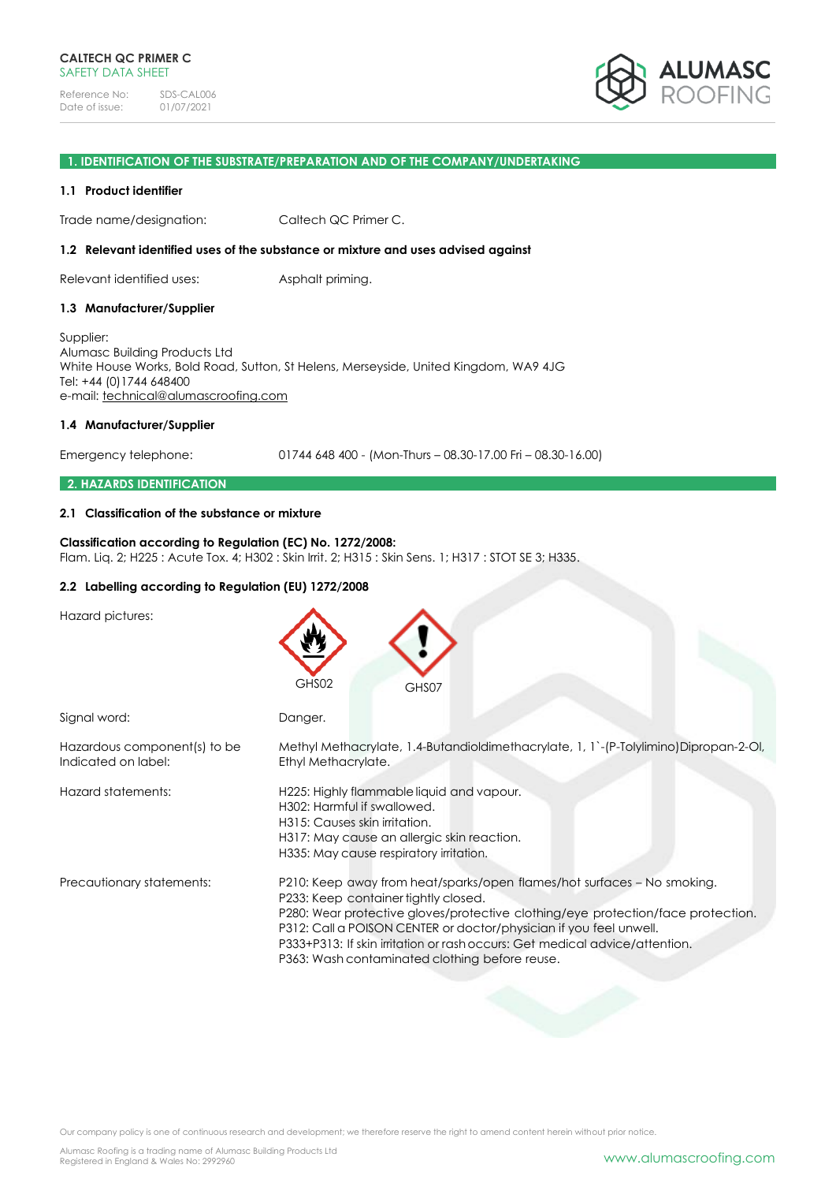

#### **1. IDENTIFICATION OF THE SUBSTRATE/PREPARATION AND OF THE COMPANY/UNDERTAKING**

#### **1.1 Product identifier**

Trade name/designation: Caltech QC Primer C.

#### **1.2 Relevant identified uses of the substance or mixture and uses advised against**

Relevant identified uses: Asphalt priming.

#### **1.3 Manufacturer/Supplier**

Supplier: Alumasc Building Products Ltd White House Works, Bold Road, Sutton, St Helens, Merseyside, United Kingdom, WA9 4JG Tel: +44 (0)1744 648400 e-mail: [technical@alumascroofing.com](mailto:technical@alumascroofing.com)

#### **1.4 Manufacturer/Supplier**

Emergency telephone: 01744 648 400 - (Mon-Thurs – 08.30-17.00 Fri – 08.30-16.00)

#### **2. HAZARDS IDENTIFICATION**

#### **2.1 Classification of the substance or mixture**

#### **Classification according to Regulation (EC) No. 1272/2008:** Flam. Liq. 2; H225 : Acute Tox. 4; H302 : Skin Irrit. 2; H315 : Skin Sens. 1; H317 : STOT SE 3; H335.

## **2.2 Labelling according to Regulation (EU) 1272/2008**

Hazard pictures:

|                                                     | GHS02<br>GHS07                                                                                                                                                                                                                                                                                                                                                                                             |
|-----------------------------------------------------|------------------------------------------------------------------------------------------------------------------------------------------------------------------------------------------------------------------------------------------------------------------------------------------------------------------------------------------------------------------------------------------------------------|
| Signal word:                                        | Danger.                                                                                                                                                                                                                                                                                                                                                                                                    |
| Hazardous component(s) to be<br>Indicated on label: | Methyl Methacrylate, 1.4-Butandioldimethacrylate, 1, 1'-(P-Tolylimino)Dipropan-2-Ol,<br>Ethyl Methacrylate.                                                                                                                                                                                                                                                                                                |
| Hazard statements:                                  | H225: Highly flammable liquid and vapour.<br>H302: Harmful if swallowed.<br>H315: Causes skin irritation.<br>H317: May cause an allergic skin reaction.<br>H335: May cause respiratory irritation.                                                                                                                                                                                                         |
| Precautionary statements:                           | P210: Keep away from heat/sparks/open flames/hot surfaces – No smoking.<br>P233: Keep container tightly closed.<br>P280: Wear protective gloves/protective clothing/eye protection/face protection.<br>P312: Call a POISON CENTER or doctor/physician if you feel unwell.<br>P333+P313: If skin irritation or rash occurs: Get medical advice/attention.<br>P363: Wash contaminated clothing before reuse. |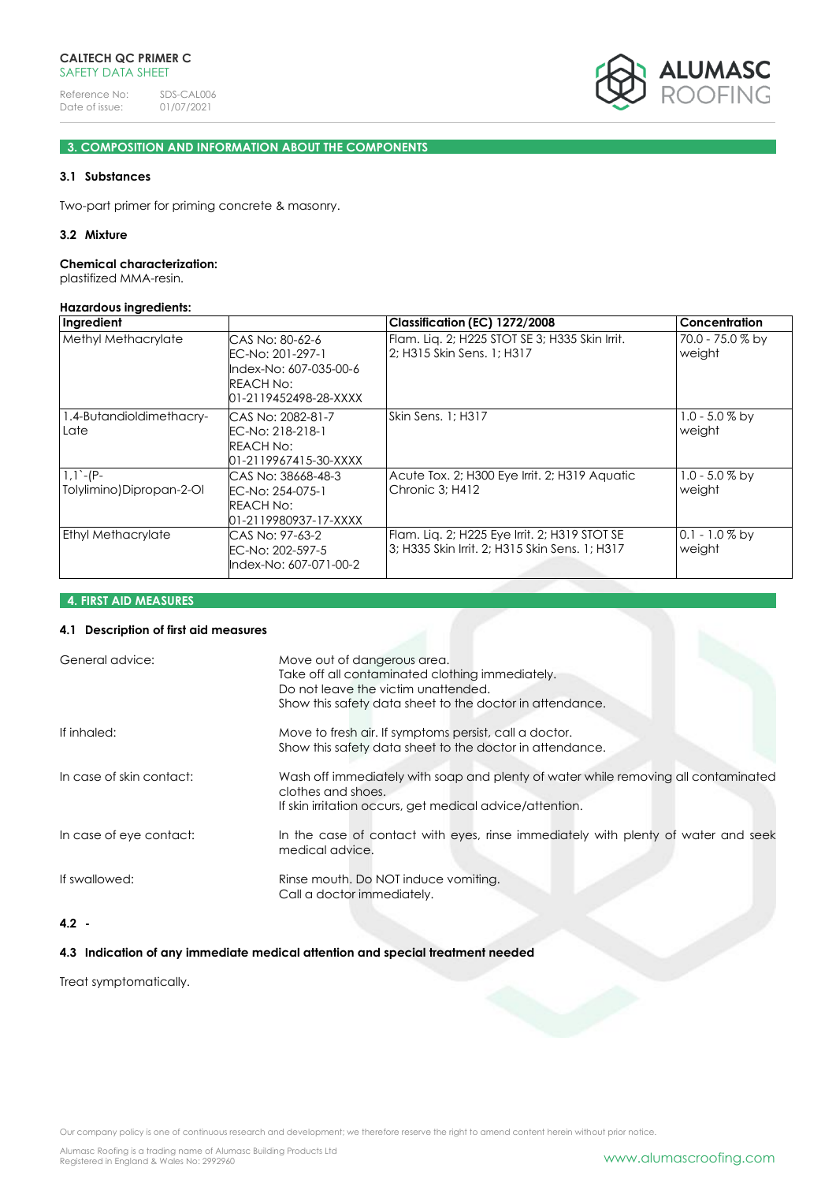

## **3. COMPOSITION AND INFORMATION ABOUT THE COMPONENTS**

## **3.1 Substances**

Two-part primer for priming concrete & masonry.

#### **3.2 Mixture**

#### **Chemical characterization:**

plastifized MMA-resin.

#### **Hazardous ingredients:**

| Ingredient                             |                                                                                                     | Classification (EC) 1272/2008                                                                   | <b>Concentration</b>       |
|----------------------------------------|-----------------------------------------------------------------------------------------------------|-------------------------------------------------------------------------------------------------|----------------------------|
| <b>Methyl Methacrylate</b>             | CAS No: 80-62-6<br>EC-No: 201-297-1<br>Index-No: 607-035-00-6<br>REACH No:<br>01-2119452498-28-XXXX | Flam. Lig. 2; H225 STOT SE 3; H335 Skin Irrit.<br>12: H315 Skin Sens. 1: H317                   | 70.0 - 75.0 % by<br>weight |
| 1.4-Butandioldimethacry-<br>Late       | CAS No: 2082-81-7<br>EC-No: 218-218-1<br>REACH No:<br>01-2119967415-30-XXXX                         | Skin Sens. 1; H317                                                                              | $1.0 - 5.0 %$ by<br>weight |
| $1,1$ -(P-<br>Tolylimino)Dipropan-2-Ol | CAS No: 38668-48-3<br>EC-No: 254-075-1<br>REACH No:<br>01-2119980937-17-XXXX                        | Acute Tox. 2; H300 Eye Irrit. 2; H319 Aquatic<br>Chronic 3; H412                                | $1.0 - 5.0 %$ by<br>weight |
| <b>Ethyl Methacrylate</b>              | CAS No: 97-63-2<br>EC-No: 202-597-5<br>Index-No: 607-071-00-2                                       | Flam. Liq. 2; H225 Eye Irrit. 2; H319 STOT SE<br>3; H335 Skin Irrit. 2; H315 Skin Sens. 1; H317 | $0.1 - 1.0 %$ by<br>weight |

**4. FIRST AID MEASURES**

#### **4.1 Description of first aid measures**

| General advice:          | Move out of dangerous area.<br>Take off all contaminated clothing immediately.<br>Do not leave the victim unattended.<br>Show this safety data sheet to the doctor in attendance. |
|--------------------------|-----------------------------------------------------------------------------------------------------------------------------------------------------------------------------------|
| If inhaled:              | Move to fresh air. If symptoms persist, call a doctor.<br>Show this safety data sheet to the doctor in attendance.                                                                |
| In case of skin contact: | Wash off immediately with soap and plenty of water while removing all contaminated<br>clothes and shoes.<br>If skin irritation occurs, get medical advice/attention.              |
| In case of eye contact:  | In the case of contact with eyes, rinse immediately with plenty of water and seek<br>medical advice.                                                                              |
| If swallowed:            | Rinse mouth. Do NOT induce vomiting.<br>Call a doctor immediately.                                                                                                                |

## **4.2 -**

## **4.3 Indication of any immediate medical attention and special treatment needed**

Treat symptomatically.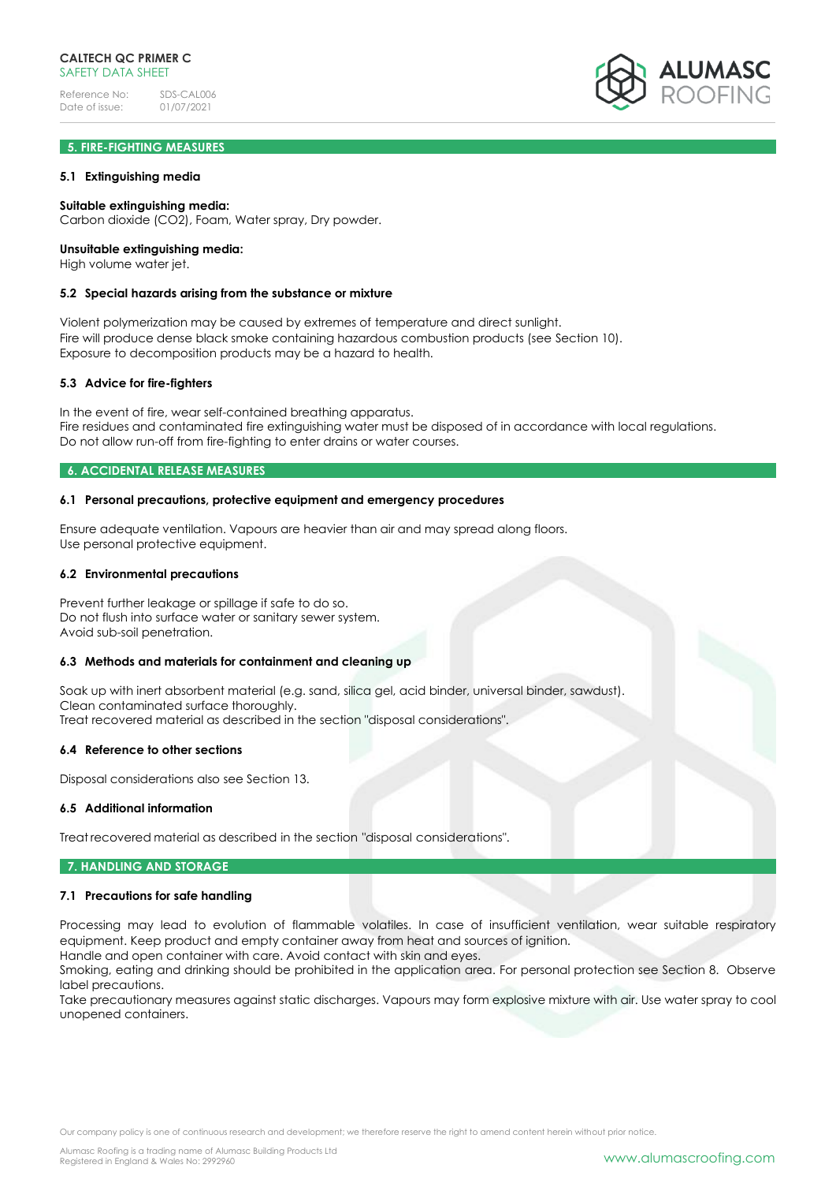## **5. FIRE-FIGHTING MEASURES**

#### **5.1 Extinguishing media**

#### **Suitable extinguishing media:**

Carbon dioxide (CO2), Foam, Water spray, Dry powder.

#### **Unsuitable extinguishing media:**

High volume water jet.

#### **5.2 Special hazards arising from the substance or mixture**

Violent polymerization may be caused by extremes of temperature and direct sunlight. Fire will produce dense black smoke containing hazardous combustion products (see Section 10). Exposure to decomposition products may be a hazard to health.

#### **5.3 Advice for fire-fighters**

In the event of fire, wear self-contained breathing apparatus. Fire residues and contaminated fire extinguishing water must be disposed of in accordance with local regulations. Do not allow run-off from fire-fighting to enter drains or water courses.

#### **6. ACCIDENTAL RELEASE MEASURES**

#### **6.1 Personal precautions, protective equipment and emergency procedures**

Ensure adequate ventilation. Vapours are heavier than air and may spread along floors. Use personal protective equipment.

#### **6.2 Environmental precautions**

Prevent further leakage or spillage if safe to do so. Do not flush into surface water or sanitary sewer system. Avoid sub-soil penetration.

#### **6.3 Methods and materials for containment and cleaning up**

Soak up with inert absorbent material (e.g. sand, silica gel, acid binder, universal binder, sawdust). Clean contaminated surface thoroughly. Treat recovered material as described in the section "disposal considerations".

#### **6.4 Reference to other sections**

Disposal considerations also see Section 13.

#### **6.5 Additional information**

Treat recovered material as described in the section "disposal considerations".

#### **7. HANDLING AND STORAGE**

#### **7.1 Precautions for safe handling**

Processing may lead to evolution of flammable volatiles. In case of insufficient ventilation, wear suitable respiratory equipment. Keep product and empty container away from heat and sources of ignition. Handle and open container with care. Avoid contact with skin and eyes.

Smoking, eating and drinking should be prohibited in the application area. For personal protection see Section 8. Observe label precautions.

Take precautionary measures against static discharges. Vapours may form explosive mixture with air. Use water spray to cool unopened containers.

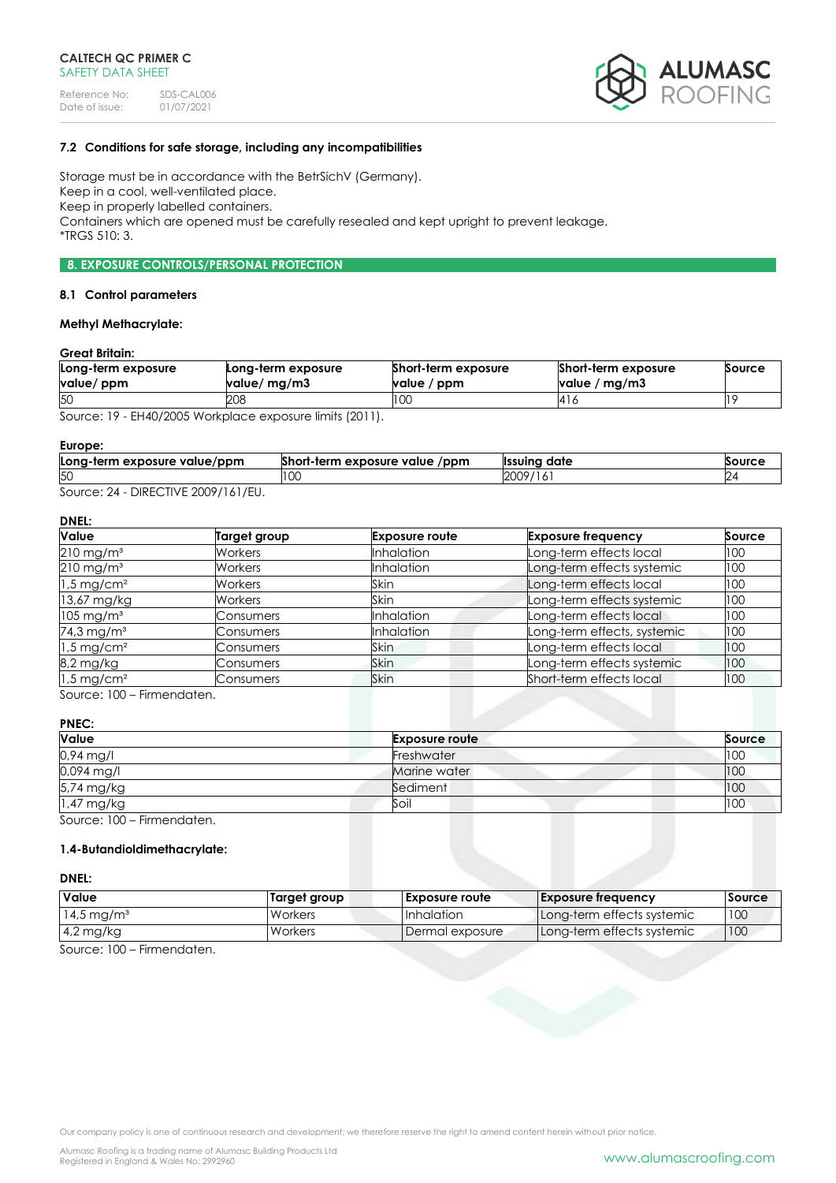

## **7.2 Conditions for safe storage, including any incompatibilities**

Storage must be in accordance with the BetrSichV (Germany). Keep in a cool, well-ventilated place. Keep in properly labelled containers. Containers which are opened must be carefully resealed and kept upright to prevent leakage. \*TRGS 510: 3.

## **8. EXPOSURE CONTROLS/PERSONAL PROTECTION**

#### **8.1 Control parameters**

## **Methyl Methacrylate:**

#### **Great Britain:**

| Long-term exposure | Long-term exposure                 | Short-term exposure | <b>Short-term exposure</b> | Source |
|--------------------|------------------------------------|---------------------|----------------------------|--------|
| value/ ppm         | value/ mg/m3                       | value / ppm         | value / $mg/m3$            |        |
| 50                 | 208                                | 100                 | 14 I C                     |        |
| $\sim$             | $1!$ $1!$ $1!$ $1!$ $1!$ $1!$ $1!$ |                     |                            |        |

Source: 19 - EH40/2005 Workplace exposure limits (2011).

#### **Europe:**

| Long-term exposure value/ppm | Short-term exposure value<br>/ppm | <sup>.</sup> date<br><b>Ilssuina</b> | Source |
|------------------------------|-----------------------------------|--------------------------------------|--------|
| 50                           | LU.                               | 2009<br>19/<br>.                     |        |
| DIDFOTIVIF                   |                                   |                                      |        |

Source: 24 - DIRECTIVE 2009/161/EU.

## **DNEL:**

| Value                    | Target group   | <b>Exposure route</b> | <b>Exposure frequency</b>   | Source |
|--------------------------|----------------|-----------------------|-----------------------------|--------|
| $210$ mg/m <sup>3</sup>  | Workers        | <b>Inhalation</b>     | Long-term effects local     | 100    |
| $210$ mg/m <sup>3</sup>  | Workers        | <b>Inhalation</b>     | Long-term effects systemic  | 100    |
| $1.5 \,\mathrm{mg/cm^2}$ | <b>Workers</b> | Skin                  | Long-term effects local     | 100    |
| 13,67 mg/kg              | Workers        | Skin                  | Long-term effects systemic  | 100    |
| $105 \text{ mg/m}^3$     | Consumers      | <b>Inhalation</b>     | Long-term effects local     | 100    |
| 74,3 mg/m <sup>3</sup>   | Consumers      | Inhalation            | Long-term effects, systemic | 100    |
| $1.5 \text{ mg/cm}^2$    | Consumers      | Skin                  | Long-term effects local     | 100    |
| 8,2 mg/kg                | Consumers      | Skin                  | Long-term effects systemic  | 100    |
| $1.5 \,\mathrm{mg/cm^2}$ | Consumers      | <b>Skin</b>           | Short-term effects local    | 100    |

Source: 100 – Firmendaten.

## **PNEC:**

| Value      | <b>Exposure route</b> | Source |
|------------|-----------------------|--------|
| 0,94 mg/l  | Freshwater            | 100    |
| 0,094 mg/l | Marine water          | 100    |
| 5,74 mg/kg | Sediment              | 100    |
| 1,47 mg/kg | Soil                  | 100    |
|            |                       |        |

Source: 100 – Firmendaten.

## **1.4-Butandioldimethacrylate:**

## **DNEL:**

| <b>Value</b>             | Target group | <b>Exposure route</b> | <b>Exposure frequency</b>  | Source |
|--------------------------|--------------|-----------------------|----------------------------|--------|
| $14.5 \,\mathrm{mg/m^3}$ | Workers      | <b>Inhalation</b>     | Long-term effects systemic | 100    |
| $14.2 \text{ mg/kg}$     | Workers      | Dermal exposure       | Long-term effects systemic | 1100   |

Source: 100 – Firmendaten.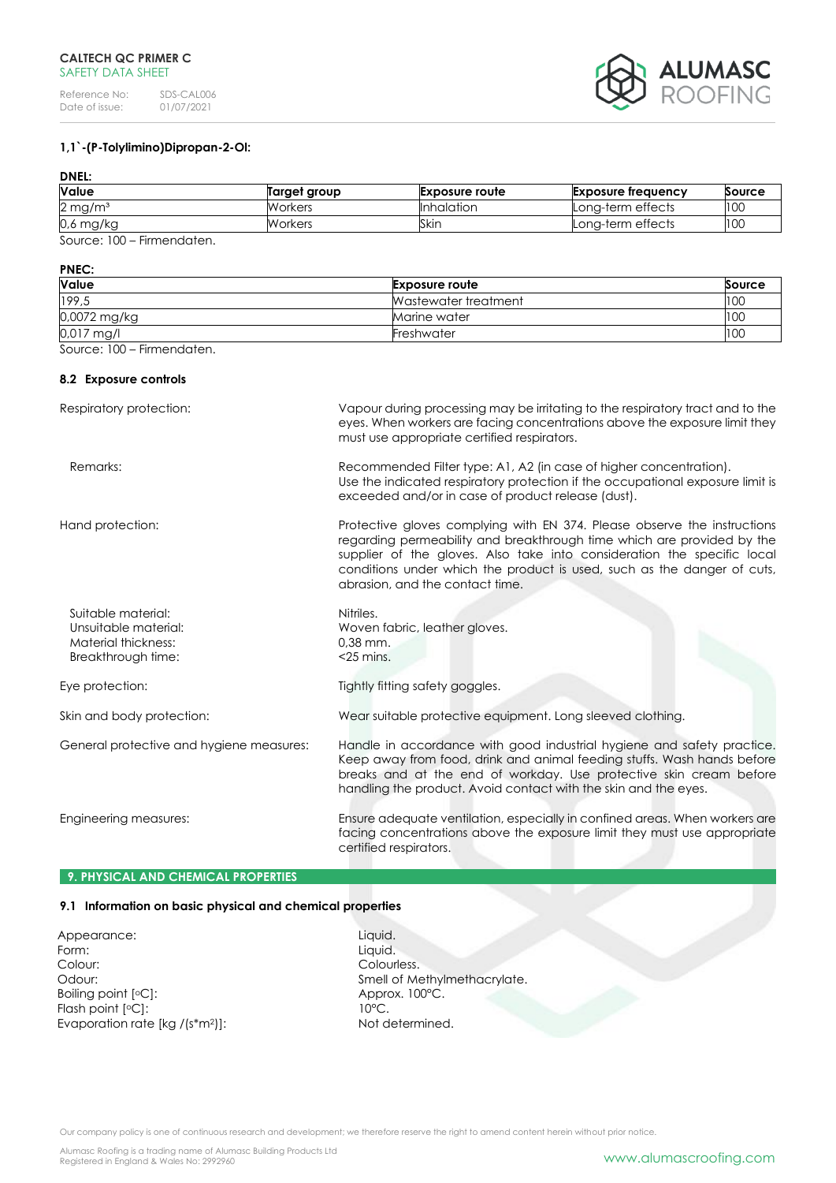

## **1,1`-(P-Tolylimino)Dipropan-2-Ol:**

## **DNEL:**

| Value                 | Target group | <b>Exposure route</b> | Exposure frequency | Source |
|-----------------------|--------------|-----------------------|--------------------|--------|
| $2 \,\mathrm{mg/m^3}$ | Workers      | Inhalation            | Long-term effects  | 100    |
| 0,6 mg/kg             | Workers      | Skin                  | Long-term effects  | 100    |

Source: 100 – Firmendaten.

## **PNEC:**

| Value        | <b>Exposure route</b> | Source |
|--------------|-----------------------|--------|
| 199,5        | Wastewater treatment  | 100    |
| 0,0072 mg/kg | Marine water          | 100    |
| $0.017$ mg/l | Freshwater            | 100    |

Source: 100 – Firmendaten.

## **8.2 Exposure controls**

| Respiratory protection:                                                                 | Vapour during processing may be irritating to the respiratory tract and to the<br>eyes. When workers are facing concentrations above the exposure limit they<br>must use appropriate certified respirators.                                                                                                                                 |
|-----------------------------------------------------------------------------------------|---------------------------------------------------------------------------------------------------------------------------------------------------------------------------------------------------------------------------------------------------------------------------------------------------------------------------------------------|
| Remarks:                                                                                | Recommended Filter type: A1, A2 (in case of higher concentration).<br>Use the indicated respiratory protection if the occupational exposure limit is<br>exceeded and/or in case of product release (dust).                                                                                                                                  |
| Hand protection:                                                                        | Protective gloves complying with EN 374. Please observe the instructions<br>regarding permeability and breakthrough time which are provided by the<br>supplier of the gloves. Also take into consideration the specific local<br>conditions under which the product is used, such as the danger of cuts,<br>abrasion, and the contact time. |
| Suitable material:<br>Unsuitable material:<br>Material thickness:<br>Breakthrough time: | Nitriles.<br>Woven fabric, leather gloves.<br>$0.38$ mm.<br>$<$ 25 mins.                                                                                                                                                                                                                                                                    |
| Eye protection:                                                                         | Tightly fitting safety goggles.                                                                                                                                                                                                                                                                                                             |
| Skin and body protection:                                                               | Wear suitable protective equipment. Long sleeved clothing.                                                                                                                                                                                                                                                                                  |
| General protective and hygiene measures:                                                | Handle in accordance with good industrial hygiene and safety practice.<br>Keep away from food, drink and animal feeding stuffs. Wash hands before<br>breaks and at the end of workday. Use protective skin cream before<br>handling the product. Avoid contact with the skin and the eyes.                                                  |
| Engineering measures:                                                                   | Ensure adequate ventilation, especially in confined areas. When workers are<br>facing concentrations above the exposure limit they must use appropriate<br>certified respirators.                                                                                                                                                           |

## **9. PHYSICAL AND CHEMICAL PROPERTIES**

## **9.1 Information on basic physical and chemical properties**

Appearance: Liquid. Form: Liquid. Colour: Colourless. Boiling point [°C]: Approx. 100°C. Flash point [°C]: 10°C. Evaporation rate [kg /(s\*m<sup>2</sup>]]: Not determined.

Odour: Smell of Methylmethacrylate.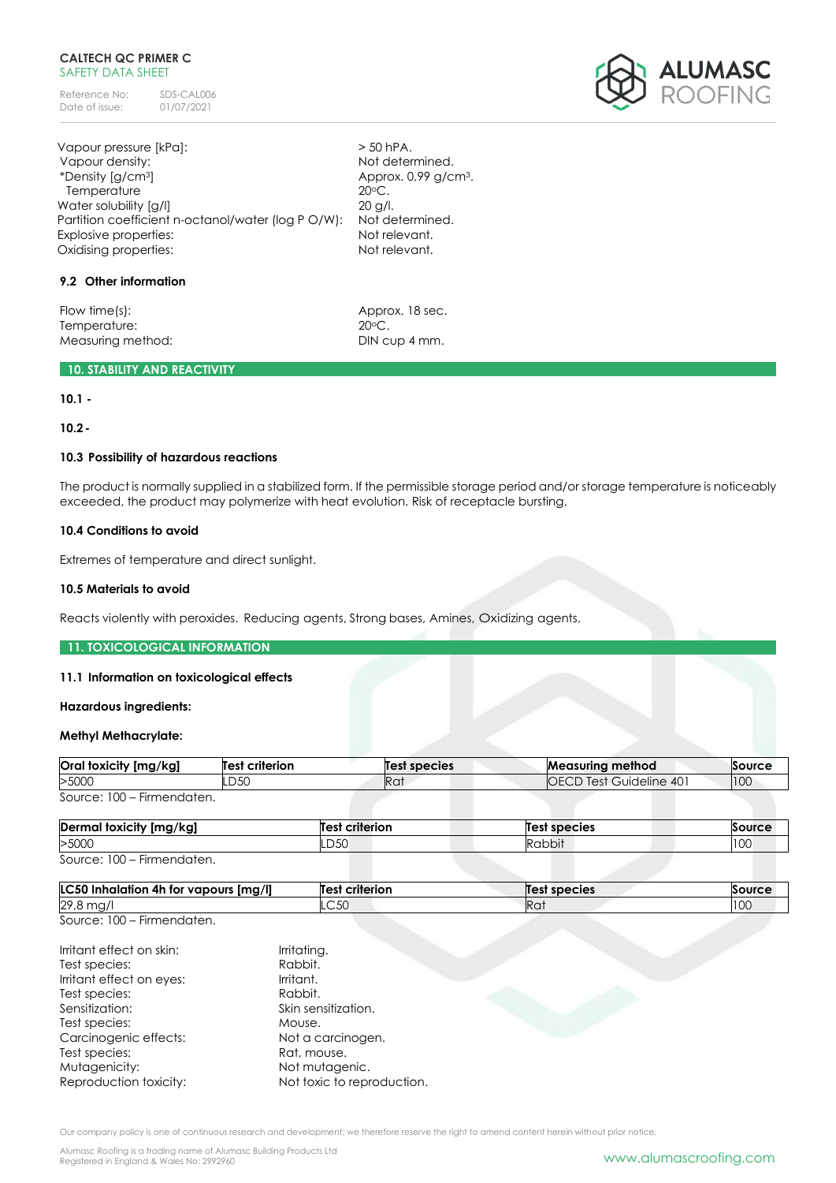Reference No: SDS-CAL006<br>Date of issue: 01/07/2021 Date of issue:

Vapour pressure [kPa]:  $>$  50 hPA. Vapour density:  $\begin{array}{ccc} \hline \end{array}$  Not determined. \*Density [g/cm3] Approx. 0,99 g/cm3. Temperature 20°C. Water solubility [g/l] 20 g/l. Partition coefficient n-octanol/water (log P O/W): Not determined. Explosive properties: Not relevant. Oxidising properties: Not relevant.

## **9.2 Other information**

Flow time(s): Approx. 18 sec. Temperature: 20°C. Measuring method: DIN cup 4 mm.

## **10. STABILITY AND REACTIVITY**

**10.1 - 10.2-**

# **10.3 Possibility of hazardous reactions**

The product is normally supplied in a stabilized form. If the permissible storage period and/or storage temperature is noticeably exceeded, the product may polymerize with heat evolution. Risk of receptacle bursting.

## **10.4 Conditions to avoid**

Extremes of temperature and direct sunlight.

### **10.5 Materials to avoid**

Reacts violently with peroxides. Reducing agents, Strong bases, Amines, Oxidizing agents.

#### **11. TOXICOLOGICAL INFORMATION**

#### **11.1 Information on toxicological effects**

#### **Hazardous ingredients:**

## **Methyl Methacrylate:**

| Oral toxicity [mg/kg]      | <b>Test criterion</b> | Test species | <b>Measuring method</b>         | Source |
|----------------------------|-----------------------|--------------|---------------------------------|--------|
| >5000                      | D50                   | Rai          | <b>IOECD Test Guideline 401</b> | 100    |
| Source: 100 – Firmendaten. |                       |              |                                 |        |

| Dermal toxicity [mg/kg]         | <b>Test criterion</b> | <b>Test species</b> | Source     |
|---------------------------------|-----------------------|---------------------|------------|
| >5000                           | LD50                  | Rabbit              | 100<br>TUU |
| Source: $100 -$<br>Firmendaten. |                       |                     |            |

| <b>LC50</b><br>Img/II<br>' Inhalation 4h for vapours ر | <b>Test criterion</b> | <b>Test species</b> | Source |
|--------------------------------------------------------|-----------------------|---------------------|--------|
| 29,8 mg<br>1 I U J                                     | $\sim$ ra<br>LC5U     | Ra                  | 100    |
| Firman polarizin                                       |                       |                     |        |

Source: 100 – Firmendaten.

| Irritant effect on skin: | Irritating.                |
|--------------------------|----------------------------|
| Test species:            | Rabbit.                    |
| Irritant effect on eyes: | Irritant.                  |
| Test species:            | Rabbit.                    |
| Sensitization:           | Skin sensitization.        |
| Test species:            | Mouse.                     |
| Carcinogenic effects:    | Not a carcinogen.          |
| Test species:            | Rat, mouse.                |
| Mutagenicity:            | Not mutagenic.             |
| Reproduction toxicity:   | Not toxic to reproduction. |

Our company policy is one of continuous research and development; we therefore reserve the right to amend content herein without prior notice.

Alumasc Roofing is a trading name of Alumasc Building Products Ltd

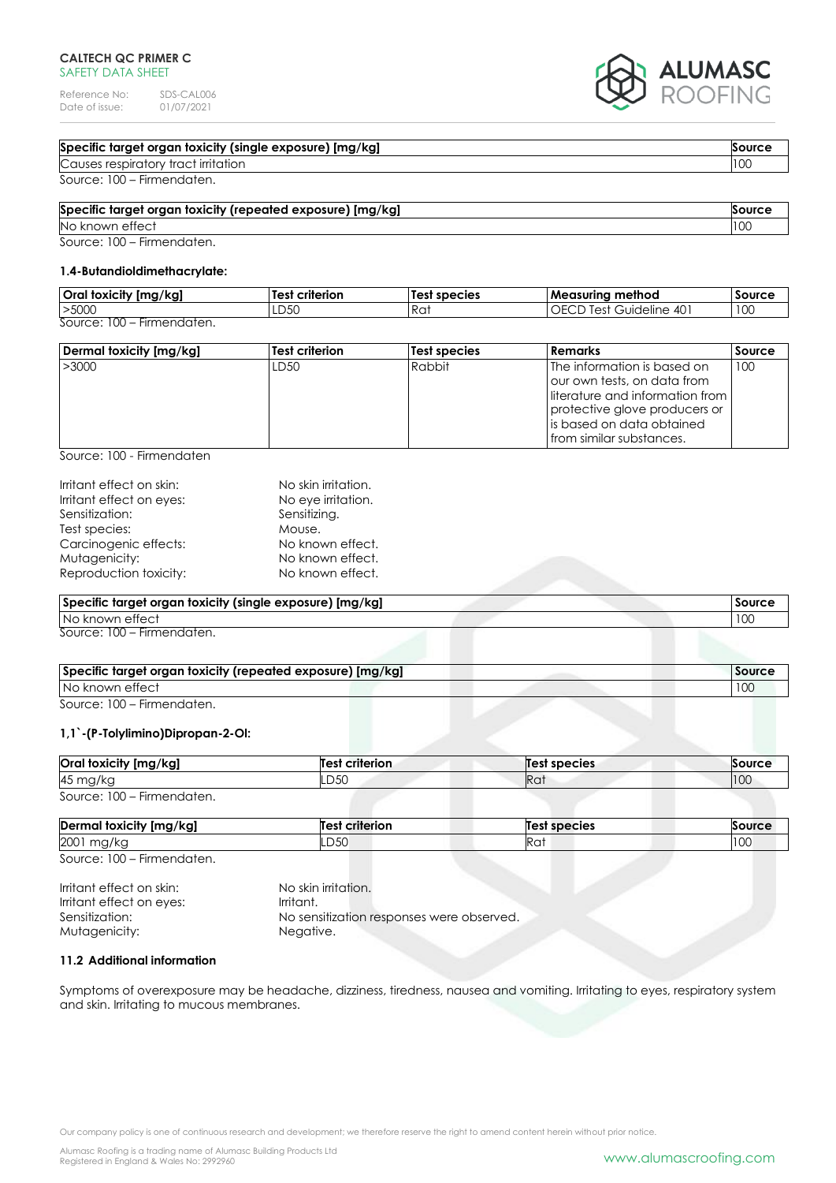Reference No: SDS-CAL006<br>Date of issue: 01/07/2021 Date of issue:

# ALUMASC

## **Specific target organ toxicity (single exposure) [mg/kg] Source Source Source Source**

**Causes respiratory tract irritation** 100

Source: 100 – Firmendaten.

# **Specific target organ toxicity (repeated exposure) [mg/kg] Source** No known effect 100

Source: 100 – Firmendaten.

## **1.4-Butandioldimethacrylate:**

| Oral toxicity [mg/kg]                                      | <br>Test<br>criterion | 'Test species | <b>Measuring method</b>         | <b>Source</b> |
|------------------------------------------------------------|-----------------------|---------------|---------------------------------|---------------|
| >5000                                                      | LD50                  | Rat           | 40<br>Guideline<br>$\mathsf{C}$ | 100           |
| $\overline{\phantom{a}}$<br>Firmendaten.<br>Source:<br>-UU |                       |               |                                 |               |

| Dermal toxicity [mg/kg] | Test criterion   | Test species | l Remarks                          | Source |
|-------------------------|------------------|--------------|------------------------------------|--------|
| >3000                   | LD <sub>50</sub> | Rabbit       | The information is based on        | 100    |
|                         |                  |              | our own tests, on data from        |        |
|                         |                  |              | lliterature and information from I |        |
|                         |                  |              | protective glove producers or      |        |
|                         |                  |              | lis based on data obtained.        |        |
|                         |                  |              | I from similar substances.         |        |

Source: 100 - Firmendaten

| Irritant effect on skin: | No skin irritation. |
|--------------------------|---------------------|
| Irritant effect on eyes: | No eye irritation.  |
| Sensitization:           | Sensitizing.        |
| Test species:            | Mouse.              |
| Carcinogenic effects:    | No known effect.    |
| Mutagenicity:            | No known effect.    |
| Reproduction toxicity:   | No known effect.    |
|                          |                     |

| Specific target organ toxicity (single exposure) [mg/kg] | Source |
|----------------------------------------------------------|--------|
| No known effect                                          |        |
| Source: 100 – Firmendaten.                               |        |

| Specific target organ toxicity (repeated exposure) [mg/kg] | <b>Source</b> |
|------------------------------------------------------------|---------------|
| No known effect                                            |               |
|                                                            |               |

Source: 100 – Firmendaten.

## **1,1`-(P-Tolylimino)Dipropan-2-Ol:**

| Oral toxicity [mg/kg]      | Test criterion | Test species    | Source |
|----------------------------|----------------|-----------------|--------|
| 45 mg/kg                   | .D50           | Ra <sup>.</sup> | 110C   |
| Source: 100 – Firmendaten. |                |                 |        |

| Dermal toxicity [mg/kg] | ' criterion<br>Test | species            |                 |
|-------------------------|---------------------|--------------------|-----------------|
| 2001<br>mg/kc           | LD50                | $P^{\sim}$<br>INU. | $\sim$<br>1 U U |
| 0.100                   |                     |                    |                 |

Source: 100 – Firmendaten.

Irritant effect on skin: No skin irritation. Irritant effect on eyes: Irritant. Sensitization: No sensitization responses were observed. Mutagenicity: Negative.

## **11.2 Additional information**

Symptoms of overexposure may be headache, dizziness, tiredness, nausea and vomiting. Irritating to eyes, respiratory system and skin. Irritating to mucous membranes.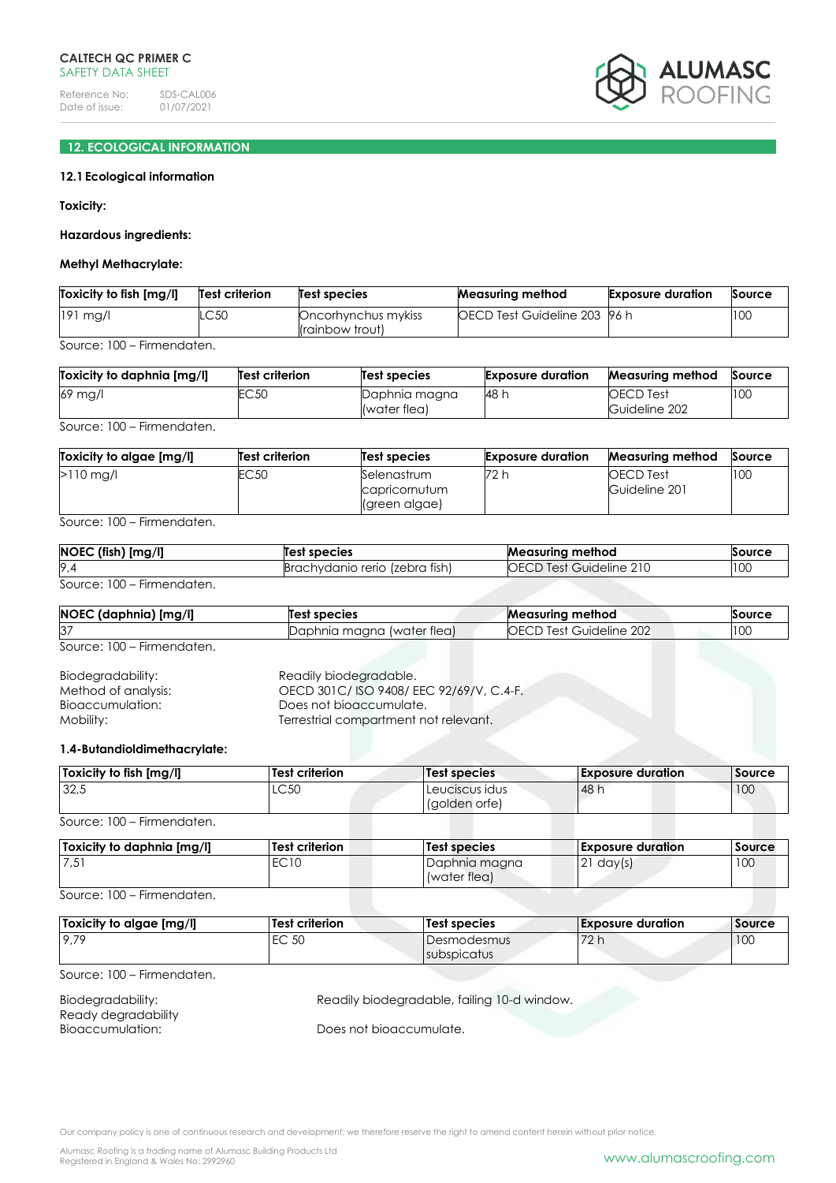

## **12. ECOLOGICAL INFORMATION**

## **12.1Ecological information**

**Toxicity:**

## **Hazardous ingredients:**

#### **Methyl Methacrylate:**

| Toxicity to fish [mg/l] | Test criterion | <b>Test species</b>                    | <b>Measuring method</b>              | <b>Exposure duration</b> | Source |
|-------------------------|----------------|----------------------------------------|--------------------------------------|--------------------------|--------|
| $191$ mg/l              | LC50           | Oncorhynchus mykiss<br>(rainbow trout) | <b>IOECD Test Guideline 203 96 h</b> |                          | 100    |

Source: 100 – Firmendaten.

| Toxicity to daphnia [mg/l] | <b>Test criterion</b> | Test species                  | <b>Exposure duration</b> | <b>Measuring method</b>           | Source |
|----------------------------|-----------------------|-------------------------------|--------------------------|-----------------------------------|--------|
| 69 mg/l                    | EC 50                 | Daphnia magna<br>(water flea) | 48 h                     | <b>OECD</b> Test<br>Guideline 202 | 100    |

Source: 100 – Firmendaten.

| Toxicity to algae [mg/l] | <b>Test criterion</b> | Test species                                  | <b>Exposure duration</b> | <b>Measuring method</b>           | Source |
|--------------------------|-----------------------|-----------------------------------------------|--------------------------|-----------------------------------|--------|
| $>110$ mg/l              | EC <sub>50</sub>      | Selenastrum<br>capricornutum<br>(green algae) | 72 h                     | <b>OECD</b> Test<br>Guideline 201 | 100    |

Source: 100 – Firmendaten.

| $NOEC$ (fish) $[mg/l]$     | Test species                   | <b>Measuring method</b> | Source |
|----------------------------|--------------------------------|-------------------------|--------|
| 9,4                        | Brachydanio rerio (zebra fish) | OECD Test Guideline 210 | 10C    |
| Source: 100 – Firmendaten. |                                |                         |        |

| NOEC (daphnia) [mg/l] | Test species               | Measuring method          | Source |
|-----------------------|----------------------------|---------------------------|--------|
| 37                    | Daphnia maana (water flea) | Guideline.<br>202<br>Test | 100    |
| $\sim$ $\sim$ $\sim$  |                            |                           |        |

Source: 100 – Firmendaten.

| Biodegradability:   | Readily biodegradable.                 |
|---------------------|----------------------------------------|
| Method of analysis: | OECD 301C/ISO 9408/EEC 92/69/V, C.4-F. |
| Bioaccumulation:    | Does not bioaccumulate.                |
| Mobility: .         | Terrestrial compartment not relevant.  |

#### **1.4-Butandioldimethacrylate:**

| Toxicity to fish [mg/l] | Test criterion | Test species                    | <b>Exposure duration</b> | Source |
|-------------------------|----------------|---------------------------------|--------------------------|--------|
| 32,5                    | LC50           | Leuciscus idus<br>(golden orfe) | 148 h                    | 100    |

Source: 100 – Firmendaten.

| Toxicity to daphnia [mg/l] | <b>Test criterion</b> | Test species                  | <b>Exposure duration</b> | Source |
|----------------------------|-----------------------|-------------------------------|--------------------------|--------|
| 751                        | EC10                  | Daphnia magna<br>(water flea) | 21<br>day(s)             | 100    |

Source: 100 – Firmendaten.

| Toxicity to algae [mg/l] | Test criterion  | Test species | l Exposure duration | Source |
|--------------------------|-----------------|--------------|---------------------|--------|
| 9,79                     | FC, 50<br>LV JV | Desmodesmus  | 70h<br>$\sim$ 1.    | 10C    |
|                          |                 | subspicatus  |                     |        |

Source: 100 – Firmendaten.

| Biodegradability:   | Readily bio |
|---------------------|-------------|
| Ready degradability |             |
| Bioaccumulation:    | Does not bi |

degradable, failing 10-d window.

ioaccumulate.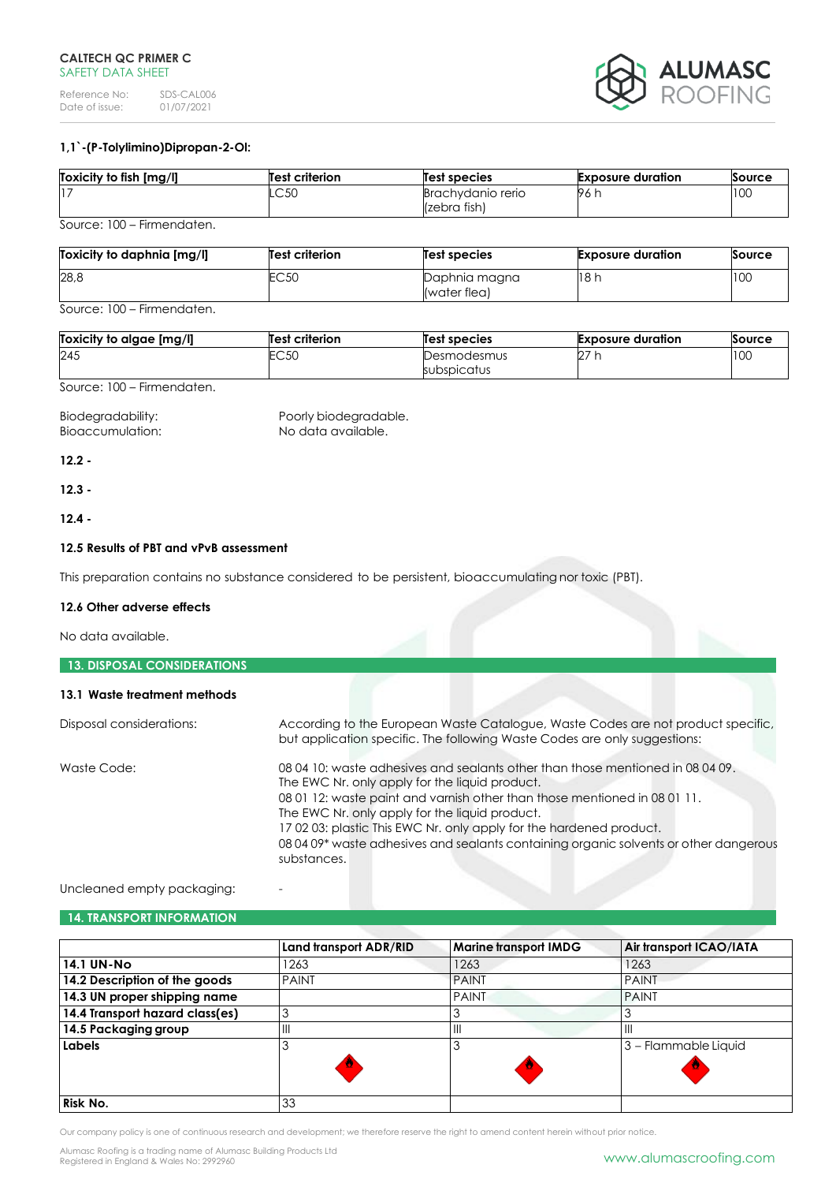Reference No: SDS-CAL006<br>Date of issue: 01/07/2021 Date of issue:



## **1,1`-(P-Tolylimino)Dipropan-2-Ol:**

| Toxicity to fish [mg/l] | <b>Test criterion</b> | Test species                      | <b>Exposure duration</b> | Source |
|-------------------------|-----------------------|-----------------------------------|--------------------------|--------|
|                         | .C50                  | Brachydanio rerio<br>(zebra fish) | 96 h                     | 10C    |

Source: 100 – Firmendaten.

| Toxicity to daphnia [mg/l] | Test criterion | <b>Test species</b>           | <b>Exposure duration</b> | Source |
|----------------------------|----------------|-------------------------------|--------------------------|--------|
| 28,8                       | EC50           | Daphnia magna<br>(water flea) | 18h                      | 100    |

Source: 100 – Firmendaten.

| Toxicity to algae [mg/l] | Test criterion | Test species               | <b>Exposure duration</b> | Source |
|--------------------------|----------------|----------------------------|--------------------------|--------|
| 245                      | EC50           | Desmodesmus<br>subspicatus | דה<br>L.                 | 100    |

Source: 100 – Firmendaten.

Biodegradability: Poorly biodegradable. Bioaccumulation: No data available.

**12.2 -**

**12.3 -**

**12.4 -**

## **12.5 Results of PBT and vPvB assessment**

This preparation contains no substance considered to be persistent, bioaccumulating nor toxic (PBT).

#### **12.6 Other adverse effects**

No data available.

| <b>13. DISPOSAL CONSIDERATIONS</b> |                                                                                                                                                                                                                                                                                                                                                                                                                                              |
|------------------------------------|----------------------------------------------------------------------------------------------------------------------------------------------------------------------------------------------------------------------------------------------------------------------------------------------------------------------------------------------------------------------------------------------------------------------------------------------|
| 13.1 Waste treatment methods       |                                                                                                                                                                                                                                                                                                                                                                                                                                              |
| Disposal considerations:           | According to the European Waste Catalogue, Waste Codes are not product specific,<br>but application specific. The following Waste Codes are only suggestions:                                                                                                                                                                                                                                                                                |
| Waste Code:                        | 08 04 10: waste adhesives and sealants other than those mentioned in 08 04 09.<br>The EWC Nr. only apply for the liquid product.<br>08 01 12: waste paint and varnish other than those mentioned in 08 01 11.<br>The EWC Nr. only apply for the liquid product.<br>170203: plastic This EWC Nr. only apply for the hardened product.<br>08 04 09* waste adhesives and sealants containing organic solvents or other dangerous<br>substances. |

## Uncleaned empty packaging:

## **14. TRANSPORT INFORMATION**

|                                 | Land transport ADR/RID | <b>Marine transport IMDG</b> | Air transport ICAO/IATA |
|---------------------------------|------------------------|------------------------------|-------------------------|
| <b>14.1 UN-No</b>               | 1263                   | 1263                         | 1263                    |
| 14.2 Description of the goods   | <b>PAINT</b>           | <b>PAINT</b>                 | <b>PAINT</b>            |
| 14.3 UN proper shipping name    |                        | <b>PAINT</b>                 | <b>PAINT</b>            |
| 14.4 Transport hazard class(es) |                        |                              |                         |
| 14.5 Packaging group            | $\mathsf{III}$         | $\mathsf{I}$                 | Ш                       |
| Labels                          |                        |                              | 3 - Flammable Liquid    |
|                                 |                        | O                            |                         |
|                                 |                        |                              |                         |
| <b>Risk No.</b>                 | 33                     |                              |                         |

Our company policy is one of continuous research and development; we therefore reserve the right to amend content herein without prior notice.

Alumasc Roofing is a trading name of Alumasc Building Products Ltd